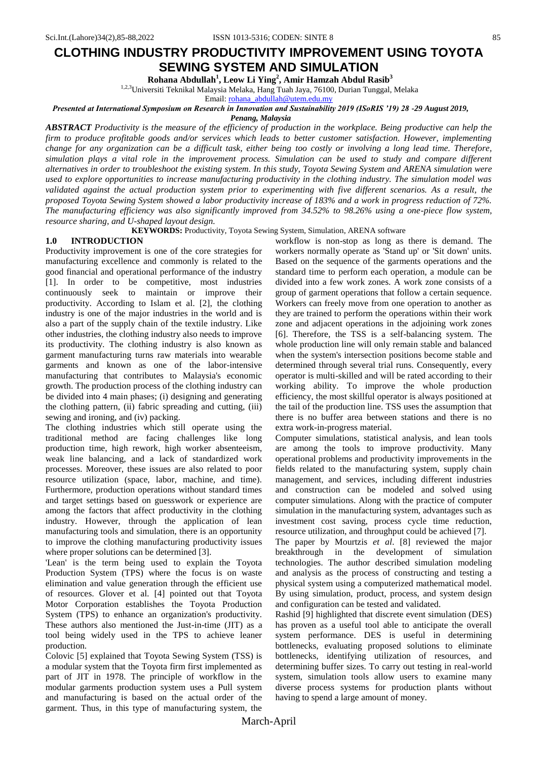# **CLOTHING INDUSTRY PRODUCTIVITY IMPROVEMENT USING TOYOTA SEWING SYSTEM AND SIMULATION**

**Rohana Abdullah<sup>1</sup> , Leow Li Ying<sup>2</sup> , Amir Hamzah Abdul Rasib<sup>3</sup>**

<sup>1,2,3</sup>Universiti Teknikal Malaysia Melaka, Hang Tuah Jaya, 76100, Durian Tunggal, Melaka

Email: [rohana\\_abdullah@utem.edu.my](mailto:rohana_abdullah@utem.edu.my)

*Presented at International Symposium on Research in Innovation and Sustainability 2019 (ISoRIS '19) 28 -29 August 2019,* 

*Penang, Malaysia*

*ABSTRACT Productivity is the measure of the efficiency of production in the workplace. Being productive can help the firm to produce profitable goods and/or services which leads to better customer satisfaction. However, implementing change for any organization can be a difficult task, either being too costly or involving a long lead time. Therefore, simulation plays a vital role in the improvement process. Simulation can be used to study and compare different alternatives in order to troubleshoot the existing system. In this study, Toyota Sewing System and ARENA simulation were used to explore opportunities to increase manufacturing productivity in the clothing industry. The simulation model was validated against the actual production system prior to experimenting with five different scenarios. As a result, the proposed Toyota Sewing System showed a labor productivity increase of 183% and a work in progress reduction of 72%. The manufacturing efficiency was also significantly improved from 34.52% to 98.26% using a one-piece flow system, resource sharing, and U-shaped layout design.* 

**KEYWORDS:** Productivity, Toyota Sewing System, Simulation, ARENA software

#### **1.0 INTRODUCTION**

Productivity improvement is one of the core strategies for manufacturing excellence and commonly is related to the good financial and operational performance of the industry [1]. In order to be competitive, most industries continuously seek to maintain or improve their productivity. According to Islam et al. [2], the clothing industry is one of the major industries in the world and is also a part of the supply chain of the textile industry. Like other industries, the clothing industry also needs to improve its productivity. The clothing industry is also known as garment manufacturing turns raw materials into wearable garments and known as one of the labor-intensive manufacturing that contributes to Malaysia's economic growth. The production process of the clothing industry can be divided into 4 main phases; (i) designing and generating the clothing pattern, (ii) fabric spreading and cutting, (iii) sewing and ironing, and (iv) packing.

The clothing industries which still operate using the traditional method are facing challenges like long production time, high rework, high worker absenteeism, weak line balancing, and a lack of standardized work processes. Moreover, these issues are also related to poor resource utilization (space, labor, machine, and time). Furthermore, production operations without standard times and target settings based on guesswork or experience are among the factors that affect productivity in the clothing industry. However, through the application of lean manufacturing tools and simulation, there is an opportunity to improve the clothing manufacturing productivity issues where proper solutions can be determined [3].

'Lean' is the term being used to explain the Toyota Production System (TPS) where the focus is on waste elimination and value generation through the efficient use of resources. Glover et al. [4] pointed out that Toyota Motor Corporation establishes the Toyota Production System (TPS) to enhance an organization's productivity. These authors also mentioned the Just-in-time (JIT) as a tool being widely used in the TPS to achieve leaner production.

Colovic [5] explained that Toyota Sewing System (TSS) is a modular system that the Toyota firm first implemented as part of JIT in 1978. The principle of workflow in the modular garments production system uses a Pull system and manufacturing is based on the actual order of the garment. Thus, in this type of manufacturing system, the workflow is non-stop as long as there is demand. The workers normally operate as 'Stand up' or 'Sit down' units. Based on the sequence of the garments operations and the standard time to perform each operation, a module can be divided into a few work zones. A work zone consists of a group of garment operations that follow a certain sequence. Workers can freely move from one operation to another as they are trained to perform the operations within their work zone and adjacent operations in the adjoining work zones [6]. Therefore, the TSS is a self-balancing system. The whole production line will only remain stable and balanced when the system's intersection positions become stable and determined through several trial runs. Consequently, every operator is multi-skilled and will be rated according to their working ability. To improve the whole production efficiency, the most skillful operator is always positioned at the tail of the production line. TSS uses the assumption that there is no buffer area between stations and there is no extra work-in-progress material.

Computer simulations, statistical analysis, and lean tools are among the tools to improve productivity. Many operational problems and productivity improvements in the fields related to the manufacturing system, supply chain management, and services, including different industries and construction can be modeled and solved using computer simulations. Along with the practice of computer simulation in the manufacturing system, advantages such as investment cost saving, process cycle time reduction, resource utilization, and throughput could be achieved [7].

The paper by Mourtzis *et al*. [8] reviewed the major breakthrough in the development of simulation technologies. The author described simulation modeling and analysis as the process of constructing and testing a physical system using a computerized mathematical model. By using simulation, product, process, and system design and configuration can be tested and validated.

Rashid [9] highlighted that discrete event simulation (DES) has proven as a useful tool able to anticipate the overall system performance. DES is useful in determining bottlenecks, evaluating proposed solutions to eliminate bottlenecks, identifying utilization of resources, and determining buffer sizes. To carry out testing in real-world system, simulation tools allow users to examine many diverse process systems for production plants without having to spend a large amount of money.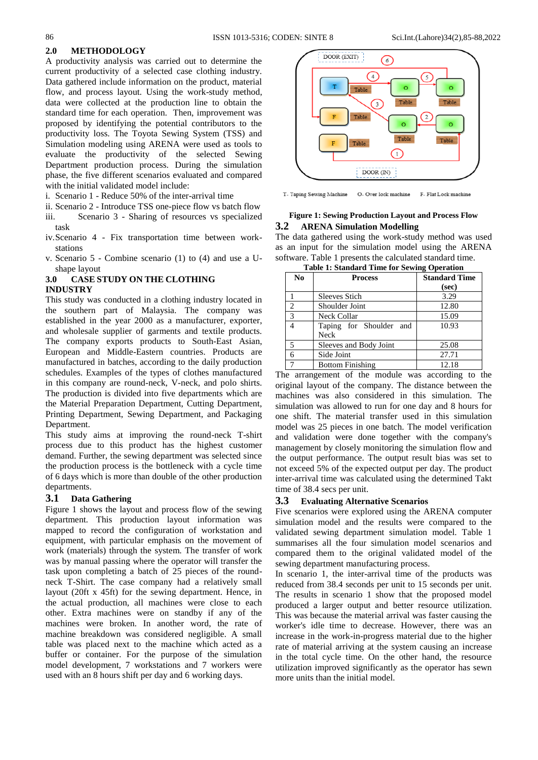## **2.0 METHODOLOGY**

A productivity analysis was carried out to determine the current productivity of a selected case clothing industry. Data gathered include information on the product, material flow, and process layout. Using the work-study method, data were collected at the production line to obtain the standard time for each operation. Then, improvement was proposed by identifying the potential contributors to the productivity loss. The Toyota Sewing System (TSS) and Simulation modeling using ARENA were used as tools to evaluate the productivity of the selected Sewing Department production process. During the simulation phase, the five different scenarios evaluated and compared with the initial validated model include:

- i. Scenario 1 Reduce 50% of the inter-arrival time
- ii. Scenario 2 Introduce TSS one-piece flow vs batch flow
- iii. Scenario 3 Sharing of resources vs specialized task
- iv.Scenario 4 Fix transportation time between workstations
- v. Scenario 5 Combine scenario (1) to (4) and use a Ushape layout

#### **3.0 CASE STUDY ON THE CLOTHING INDUSTRY**

This study was conducted in a clothing industry located in the southern part of Malaysia. The company was established in the year 2000 as a manufacturer, exporter, and wholesale supplier of garments and textile products. The company exports products to South-East Asian, European and Middle-Eastern countries. Products are manufactured in batches, according to the daily production schedules. Examples of the types of clothes manufactured in this company are round-neck, V-neck, and polo shirts. The production is divided into five departments which are the Material Preparation Department, Cutting Department, Printing Department, Sewing Department, and Packaging Department.

This study aims at improving the round-neck T-shirt process due to this product has the highest customer demand. Further, the sewing department was selected since the production process is the bottleneck with a cycle time of 6 days which is more than double of the other production departments.

## **3.1 Data Gathering**

Figure 1 shows the layout and process flow of the sewing department. This production layout information was mapped to record the configuration of workstation and equipment, with particular emphasis on the movement of work (materials) through the system. The transfer of work was by manual passing where the operator will transfer the task upon completing a batch of 25 pieces of the roundneck T-Shirt. The case company had a relatively small layout (20ft x 45ft) for the sewing department. Hence, in the actual production, all machines were close to each other. Extra machines were on standby if any of the machines were broken. In another word, the rate of machine breakdown was considered negligible. A small table was placed next to the machine which acted as a buffer or container. For the purpose of the simulation model development, 7 workstations and 7 workers were used with an 8 hours shift per day and 6 working days.



T- Taping Sewing Machine O- Over lock machine F- Flat Lock machine

### **Figure 1: Sewing Production Layout and Process Flow 3.2 ARENA Simulation Modelling**

The data gathered using the work-study method was used as an input for the simulation model using the ARENA software. Table 1 presents the calculated standard time.

| <b>Table 1: Standard Time for Sewing Operation</b> |                                 |                      |  |  |  |  |
|----------------------------------------------------|---------------------------------|----------------------|--|--|--|--|
| N <sub>0</sub>                                     | <b>Process</b>                  | <b>Standard Time</b> |  |  |  |  |
|                                                    |                                 | (sec)                |  |  |  |  |
|                                                    | <b>Sleeves Stich</b>            | 3.29                 |  |  |  |  |
| $\overline{c}$                                     | Shoulder Joint                  | 12.80                |  |  |  |  |
| $\mathbf{3}$                                       | Neck Collar                     | 15.09                |  |  |  |  |
|                                                    | Taping for Shoulder and<br>Neck | 10.93                |  |  |  |  |
| 5                                                  | Sleeves and Body Joint          | 25.08                |  |  |  |  |
|                                                    | Side Joint                      | 27.71                |  |  |  |  |
|                                                    | <b>Bottom Finishing</b>         | 12.18                |  |  |  |  |

The arrangement of the module was according to the original layout of the company. The distance between the machines was also considered in this simulation. The simulation was allowed to run for one day and 8 hours for one shift. The material transfer used in this simulation model was 25 pieces in one batch. The model verification and validation were done together with the company's management by closely monitoring the simulation flow and the output performance. The output result bias was set to not exceed 5% of the expected output per day. The product inter-arrival time was calculated using the determined Takt time of 38.4 secs per unit.

#### **3.3 Evaluating Alternative Scenarios**

Five scenarios were explored using the ARENA computer simulation model and the results were compared to the validated sewing department simulation model. Table 1 summarises all the four simulation model scenarios and compared them to the original validated model of the sewing department manufacturing process.

In scenario 1, the inter-arrival time of the products was reduced from 38.4 seconds per unit to 15 seconds per unit. The results in scenario 1 show that the proposed model produced a larger output and better resource utilization. This was because the material arrival was faster causing the worker's idle time to decrease. However, there was an increase in the work-in-progress material due to the higher rate of material arriving at the system causing an increase in the total cycle time. On the other hand, the resource utilization improved significantly as the operator has sewn more units than the initial model.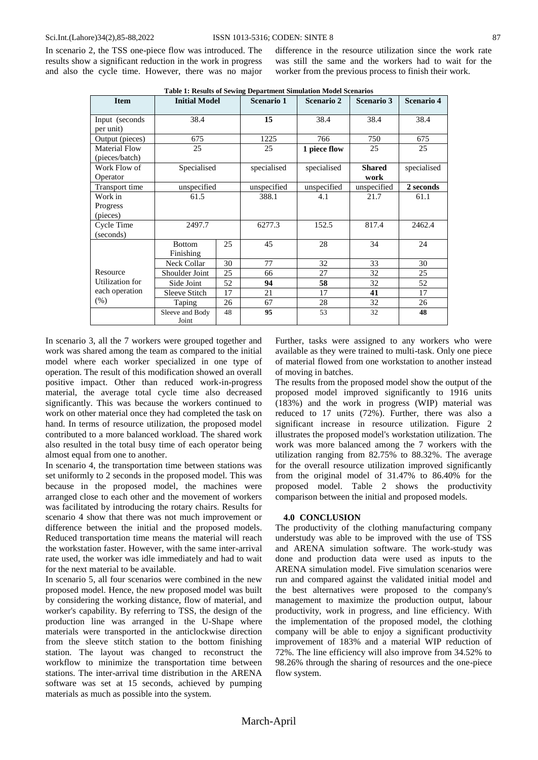In scenario 2, the TSS one-piece flow was introduced. The results show a significant reduction in the work in progress and also the cycle time. However, there was no major difference in the resource utilization since the work rate was still the same and the workers had to wait for the worker from the previous process to finish their work.

| <b>Item</b>                     | <b>Initial Model</b>       |    | <b>Scenario 1</b> | <b>Scenario 2</b> | <b>Scenario 3</b>     | Scenario 4  |
|---------------------------------|----------------------------|----|-------------------|-------------------|-----------------------|-------------|
| Input (seconds<br>per unit)     | 38.4                       |    | 15                | 38.4              | 38.4                  | 38.4        |
| Output (pieces)                 | 675                        |    | 1225              | 766               | 750                   | 675         |
| Material Flow<br>(pieces/batch) | 25                         |    | 25                | 1 piece flow      | 25                    | 25          |
| Work Flow of<br>Operator        | Specialised                |    | specialised       | specialised       | <b>Shared</b><br>work | specialised |
| Transport time                  | unspecified                |    | unspecified       | unspecified       | unspecified           | 2 seconds   |
| Work in<br>Progress<br>(pieces) | 61.5                       |    | 388.1             | 4.1               | 21.7                  | 61.1        |
| Cycle Time<br>(seconds)         | 2497.7                     |    | 6277.3            | 152.5             | 817.4                 | 2462.4      |
|                                 | <b>Bottom</b><br>Finishing | 25 | 45                | 28                | 34                    | 24          |
|                                 | <b>Neck Collar</b>         | 30 | 77                | 32                | 33                    | 30          |
| Resource                        | Shoulder Joint             | 25 | 66                | 27                | 32                    | 25          |
| Utilization for                 | Side Joint                 | 52 | 94                | 58                | 32                    | 52          |
| each operation                  | <b>Sleeve Stitch</b>       | 17 | 21                | 17                | 41                    | 17          |
| $(\%)$                          | Taping                     | 26 | 67                | 28                | 32                    | 26          |
|                                 | Sleeve and Body<br>Joint   | 48 | 95                | 53                | 32                    | 48          |

**Table 1: Results of Sewing Department Simulation Model Scenarios**

In scenario 3, all the 7 workers were grouped together and work was shared among the team as compared to the initial model where each worker specialized in one type of operation. The result of this modification showed an overall positive impact. Other than reduced work-in-progress material, the average total cycle time also decreased significantly. This was because the workers continued to work on other material once they had completed the task on hand. In terms of resource utilization, the proposed model contributed to a more balanced workload. The shared work also resulted in the total busy time of each operator being almost equal from one to another.

In scenario 4, the transportation time between stations was set uniformly to 2 seconds in the proposed model. This was because in the proposed model, the machines were arranged close to each other and the movement of workers was facilitated by introducing the rotary chairs. Results for scenario 4 show that there was not much improvement or difference between the initial and the proposed models. Reduced transportation time means the material will reach the workstation faster. However, with the same inter-arrival rate used, the worker was idle immediately and had to wait for the next material to be available.

In scenario 5, all four scenarios were combined in the new proposed model. Hence, the new proposed model was built by considering the working distance, flow of material, and worker's capability. By referring to TSS, the design of the production line was arranged in the U-Shape where materials were transported in the anticlockwise direction from the sleeve stitch station to the bottom finishing station. The layout was changed to reconstruct the workflow to minimize the transportation time between stations. The inter-arrival time distribution in the ARENA software was set at 15 seconds, achieved by pumping materials as much as possible into the system.

Further, tasks were assigned to any workers who were available as they were trained to multi-task. Only one piece of material flowed from one workstation to another instead of moving in batches.

The results from the proposed model show the output of the proposed model improved significantly to 1916 units (183%) and the work in progress (WIP) material was reduced to 17 units (72%). Further, there was also a significant increase in resource utilization. Figure 2 illustrates the proposed model's workstation utilization. The work was more balanced among the 7 workers with the utilization ranging from 82.75% to 88.32%. The average for the overall resource utilization improved significantly from the original model of 31.47% to 86.40% for the proposed model. Table 2 shows the productivity comparison between the initial and proposed models.

### **4.0 CONCLUSION**

The productivity of the clothing manufacturing company understudy was able to be improved with the use of TSS and ARENA simulation software. The work-study was done and production data were used as inputs to the ARENA simulation model. Five simulation scenarios were run and compared against the validated initial model and the best alternatives were proposed to the company's management to maximize the production output, labour productivity, work in progress, and line efficiency. With the implementation of the proposed model, the clothing company will be able to enjoy a significant productivity improvement of 183% and a material WIP reduction of 72%. The line efficiency will also improve from 34.52% to 98.26% through the sharing of resources and the one-piece flow system.